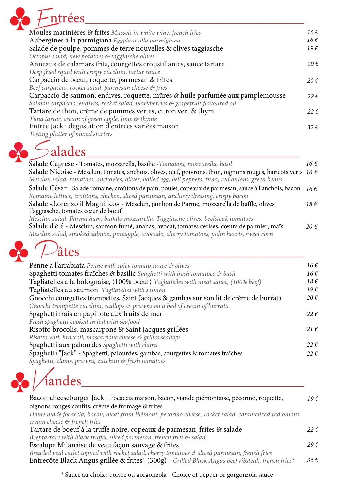

| $\sqrt{2}$ tes                                                                          |                   |
|-----------------------------------------------------------------------------------------|-------------------|
| Penne à l'arrabiata Penne with spicy tomato sauce & olives                              | $16 \in$          |
| Spaghetti tomates fraîches & basilic Spaghetti with fresh tomatoes & basil              | $16 \in$          |
| Tagliatelles à la bolognaise, (100% bœuf) Tagliatelles with meat sauce, (100% beef)     | $18 \text{ } \in$ |
| Tagliatelles au saumon Tagliatelles with salmon                                         | $19\epsilon$      |
| Gnocchi courgettes trompettes, Saint Jacques & gambas sur son lit de crème de burrata   | $20 \text{ } \in$ |
| Gnocchi trompette zucchini, scallops $\mathfrak{G}$ prawns on a bed of cream of burrata |                   |
| Spaghetti frais en papillote aux fruits de mer                                          | $22 \epsilon$     |
| Fresh spaghetti cooked in foil with seafood                                             |                   |
| Risotto brocolis, mascarpone & Saint Jacques grillées                                   | $21 \in$          |
| Risotto with broccoli, mascarpone cheese & grilles scallops                             |                   |
| Spaghetti aux palourdes Spaghetti with clams                                            | $22 \epsilon$     |
| Spaghetti "Jack" - Spaghetti, palourdes, gambas, courgettes & tomates fraîches          | $22 \epsilon$     |
| Spaghetti, clams, prawns, zucchini & fresh tomatoes                                     |                   |

| Moules marinières & frites Mussels in white wine, french fries                   | $16 \in$          |
|----------------------------------------------------------------------------------|-------------------|
| Aubergines à la parmigiana Eggplant alla parmigiana                              | $16 \in$          |
| Salade de poulpe, pommes de terre nouvelles & olives taggiasche                  | $19\epsilon$      |
| Octopus salad, new potatoes & taggiasche olives                                  |                   |
| Anneaux de calamars frits, courgettes croustillantes, sauce tartare              | $20 \text{ } \in$ |
| Deep fried squid with crispy zucchini, tartar sauce                              |                   |
| Carpaccio de bœuf, roquette, parmesan & frites                                   | $20 \in$          |
| Beef carpaccio, rocket salad, parmesan cheese & fries                            |                   |
| Carpaccio de saumon, endives, roquette, mûres & huile parfumée aux pamplemousse  | $22 \epsilon$     |
| Salmon carpaccio, endives, rocket salad, blackberries & grapefruit flavoured oil |                   |
| Tartare de thon, crème de pommes vertes, citron vert & thym                      | $22 \epsilon$     |
| Tuna tartar, cream of green apple, lime & thyme                                  |                   |
| Entrée Jack : dégustation d'entrées variées maison                               | $32 \epsilon$     |
| Tasting platter of mixed starters                                                |                   |

## $S_d$  Salades

| Salade Caprese - Tomates, mozzarella, basilic - Tomatoes, mozzarella, basil                                           | 16 $\epsilon$ |
|-----------------------------------------------------------------------------------------------------------------------|---------------|
| Salade Niçoise - Mesclun, tomates, anchois, olives, œuf, poivrons, thon, oignons rouges, haricots verts 16 $\epsilon$ |               |
| Mesclun salad, tomatoes, anchovies, olives, boiled egg, bell peppers, tuna, red onions, green beans                   |               |
| Salade César - Salade romaine, croûtons de pain, poulet, copeaux de parmesan, sauce à l'anchois, bacon                | $16 \in$      |
| Romaine lettuce, croûtons, chicken, sliced parmesan, anchovy dressing, crispy bacon                                   |               |
| Salade «Lorenzo il Magnifico» - Mesclun, jambon de Parme, mozzarella de buffle, olives                                | $18 \in$      |
| Taggiasche, tomates cœur de bœuf                                                                                      |               |
| Mesclun salad, Parma ham, buffalo mozzarella, Taggiasche olives, beefsteak tomatoes                                   |               |
| Salade d'été - Mesclun, saumon fumé, ananas, avocat, tomates cerises, cœurs de palmier, maïs                          | $20 \notin$   |
| Mesclun salad, smoked salmon, pineapple, avocado, cherry tomatoes, palm hearts, sweet corn                            |               |
|                                                                                                                       |               |

|  | âtes |  |
|--|------|--|
|  |      |  |



*Home made focaccia, bacon, meat from Pièmont, pecorino cheese, rocket salad, caramelized red onions, cream cheese & french fries*

Bacon cheeseburger Jack : Focaccia maison, bacon, viande piémontaise, pecorino, roquette, oignons rouges confits, crème de fromage & frites *19 €*

Tartare de boeuf à la truffe noire, copeaux de parmesan, frites & salade *Beef tartare with black truffel, sliced parmesan, french fries & salad* Escalope Milanaise de veau façon sauvage & frites *Breaded veal cutlet topped with rocket salad, cherry tomatoes & sliced parmesan, french fries* Entrecôte Black Angus grillée & frites\* (300g) - *Grilled Black Angus beef ribsteak, french fries\* 29 € 36 € 22 €*

\* Sauce au choix : poivre ou gorgonzola - Choice of pepper or gorgonzola sauce